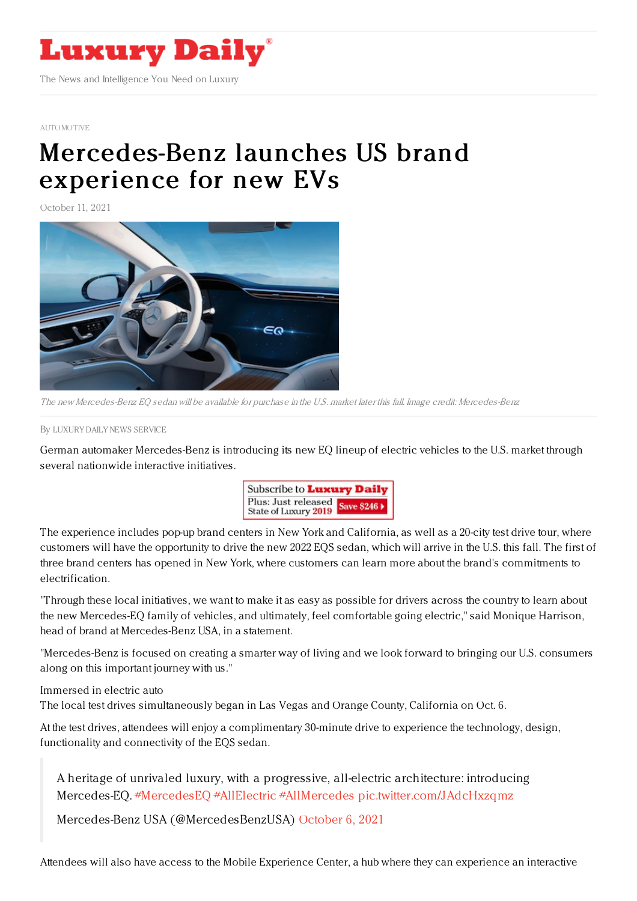

## [AUTOMOTIVE](https://www.luxurydaily.com/category/sectors/automotive-industry-sectors/)

## [Mercedes-Benz](https://www.luxurydaily.com/mercedes-benz-launches-us-brand-experience-for-new-evs/) launches US brand experience for new EVs

October 11, 2021



The new Mercedes-Benz EQ sedan will be available for purchase in the U.S. market later this fall. Image credit: Mercedes-Benz

By LUXURY DAILY NEWS [SERVICE](file:///author/luxury-daily-news-service)

German automaker Mercedes-Benz is introducing its new EQ lineup of electric vehicles to the U.S. market through several nationwide interactive initiatives.



The experience includes pop-up brand centers in New York and California, as well as a 20-city test drive tour, where customers will have the opportunity to drive the new 2022 EQS sedan, which will arrive in the U.S. this fall. The first of three brand centers has opened in New York, where customers can learn more about the brand's commitments to electrification.

"Through these local initiatives, we want to make it as easy as possible for drivers across the country to learn about the new Mercedes-EQ family of vehicles, and ultimately, feel comfortable going electric," said Monique Harrison, head of brand at Mercedes-Benz USA, in a statement.

"Mercedes-Benz is focused on creating a smarter way of living and we look forward to bringing our U.S. consumers along on this important journey with us."

Immersed in electric auto

The local test drives simultaneously began in Las Vegas and Orange County, California on Oct. 6.

At the test drives, attendees will enjoy a complimentary 30-minute drive to experience the technology, design, functionality and connectivity of the EQS sedan.

A heritage of unrivaled luxury, with a progressive, all-electric architecture: introducing Mercedes-EQ. [#MercedesEQ](https://twitter.com/hashtag/MercedesEQ?src=hash&ref_src=twsrc%255Etfw) [#AllElectric](https://twitter.com/hashtag/AllElectric?src=hash&ref_src=twsrc%255Etfw) [#AllMercedes](https://twitter.com/hashtag/AllMercedes?src=hash&ref_src=twsrc%255Etfw) [pic.twitter.com/JAdcHxzqmz](https://t.co/JAdcHxzqmz)

Mercedes-Benz USA (@MercedesBenzUSA) [October](https://twitter.com/MercedesBenzUSA/status/1445557062830755841?ref_src=twsrc%255Etfw) 6, 2021